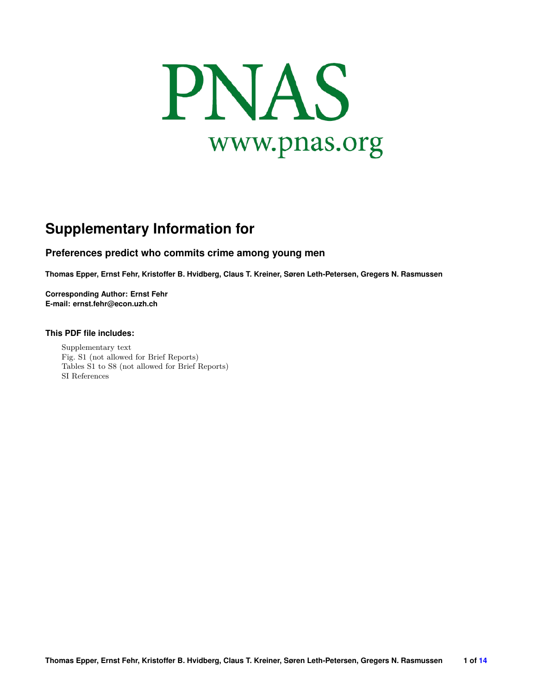<span id="page-0-0"></span>

# **Supplementary Information for**

# **Preferences predict who commits crime among young men**

**Thomas Epper, Ernst Fehr, Kristoffer B. Hvidberg, Claus T. Kreiner, Søren Leth-Petersen, Gregers N. Rasmussen**

**Corresponding Author: Ernst Fehr E-mail: ernst.fehr@econ.uzh.ch**

## **This PDF file includes:**

Supplementary text Fig. S1 (not allowed for Brief Reports) Tables S1 to S8 (not allowed for Brief Reports) SI References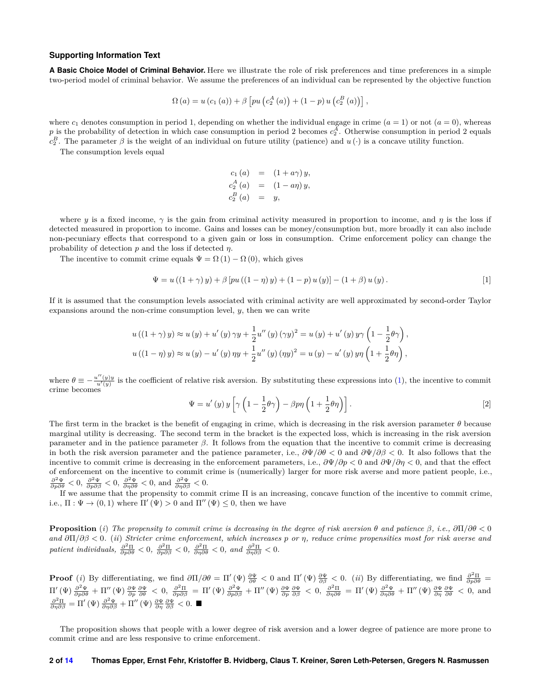#### **Supporting Information Text**

**A Basic Choice Model of Criminal Behavior.** Here we illustrate the role of risk preferences and time preferences in a simple two-period model of criminal behavior. We assume the preferences of an individual can be represented by the objective function

$$
\Omega (a) = u (c_1 (a)) + \beta \left[ pu (c_2^{A} (a)) + (1 - p) u (c_2^{B} (a)) \right],
$$

where  $c_1$  denotes consumption in period 1, depending on whether the individual engage in crime  $(a = 1)$  or not  $(a = 0)$ , whereas *p* is the probability of detection in which case consumption in period 2 becomes  $c_2^A$ . Otherwise consumption in period 2 equals  $c_2^B$ . The parameter  $\beta$  is the weight of an individual on future utility (patience) and  $u(\cdot)$  is a concave utility function.

The consumption levels equal

$$
c_1 (a) = (1 + a\gamma) y,
$$
  
\n
$$
c_2^A (a) = (1 - a\eta) y,
$$
  
\n
$$
c_2^B (a) = y,
$$

where *y* is a fixed income,  $\gamma$  is the gain from criminal activity measured in proportion to income, and *η* is the loss if detected measured in proportion to income. Gains and losses can be money/consumption but, more broadly it can also include non-pecuniary effects that correspond to a given gain or loss in consumption. Crime enforcement policy can change the probability of detection *p* and the loss if detected *η*.

The incentive to commit crime equals  $\Psi = \Omega(1) - \Omega(0)$ , which gives

<span id="page-1-0"></span>
$$
\Psi = u ((1 + \gamma) y) + \beta [pu ((1 - \eta) y) + (1 - p) u (y)] - (1 + \beta) u (y).
$$
\n[1]

If it is assumed that the consumption levels associated with criminal activity are well approximated by second-order Taylor expansions around the non-crime consumption level,  $y$ , then we can write

$$
u((1 + \gamma) y) \approx u(y) + u'(y) \gamma y + \frac{1}{2}u''(y) (\gamma y)^2 = u(y) + u'(y) y \gamma \left(1 - \frac{1}{2}\theta\gamma\right),
$$
  

$$
u((1 - \eta) y) \approx u(y) - u'(y) \eta y + \frac{1}{2}u''(y) (\eta y)^2 = u(y) - u'(y) y \eta \left(1 + \frac{1}{2}\theta\eta\right),
$$

where  $\theta \equiv -\frac{u''(y)y}{u'(y)}$  is the coefficient of relative risk aversion. By substituting these expressions into [\(1\)](#page-1-0), the incentive to commit crime becomes

$$
\Psi = u'(y) y \left[ \gamma \left( 1 - \frac{1}{2} \theta \gamma \right) - \beta p \eta \left( 1 + \frac{1}{2} \theta \eta \right) \right].
$$
 [2]

The first term in the bracket is the benefit of engaging in crime, which is decreasing in the risk aversion parameter *θ* because marginal utility is decreasing. The second term in the bracket is the expected loss, which is increasing in the risk aversion parameter and in the patience parameter *β*. It follows from the equation that the incentive to commit crime is decreasing in both the risk aversion parameter and the patience parameter, i.e., *∂*Ψ*/∂θ <* 0 and *∂*Ψ*/∂β <* 0. It also follows that the incentive to commit crime is decreasing in the enforcement parameters, i.e., *∂*Ψ*/∂p <* 0 and *∂*Ψ*/∂η <* 0, and that the effect of enforcement on the incentive to commit crime is (numerically) larger for more risk averse and more patient people, i.e.,  $\frac{\partial^2 \Psi}{\partial p \partial \theta} < 0$ ,  $\frac{\partial^2 \Psi}{\partial p \partial \beta} < 0$ , and  $\frac{\partial^2 \Psi}{\partial \eta \partial \beta} < 0$ .

If we assume that the propensity to commit crime Π is an increasing, concave function of the incentive to commit crime, i.e.,  $\Pi : \Psi \to (0,1)$  where  $\Pi'(\Psi) > 0$  and  $\Pi''(\Psi) \leq 0$ , then we have

**Proposition** (*i*) *The propensity to commit crime is decreasing in the degree of risk aversion θ and patience β, i.e., ∂*Π*/∂θ <* 0 *and ∂*Π*/∂β <* 0*.* (*ii*) *Stricter crime enforcement, which increases p or η, reduce crime propensities most for risk averse and patient individuals,*  $\frac{\partial^2 \Pi}{\partial p \partial \theta} < 0$ ,  $\frac{\partial^2 \Pi}{\partial p \partial \beta} < 0$ ,  $\frac{\partial^2 \Pi}{\partial \eta \partial \theta} < 0$ , and  $\frac{\partial^2 \Pi}{\partial \eta \partial \beta} < 0$ .

**Proof** (*i*) By differentiating, we find  $\partial \Pi / \partial \theta = \Pi'(\Psi) \frac{\partial \Psi}{\partial \theta} < 0$  and  $\Pi'(\Psi) \frac{\partial \Psi}{\partial \beta} < 0$ . (*ii*) By differentiating, we find  $\frac{\partial^2 \Pi}{\partial p \partial \theta} =$  $\Pi'(\Psi) \frac{\partial^2 \Psi}{\partial p \partial \theta} + \Pi''(\Psi) \frac{\partial \Psi}{\partial p} \frac{\partial \Psi}{\partial \theta} < 0$ ,  $\frac{\partial^2 \Pi}{\partial p \partial \beta} = \Pi'(\Psi) \frac{\partial^2 \Psi}{\partial p \partial \beta} + \Pi''(\Psi) \frac{\partial \Psi}{\partial p} \frac{\partial \Psi}{\partial \beta} < 0$ ,  $\frac{\partial^2 \Pi}{\partial p \partial \theta} = \Pi'(\Psi) \frac{\partial^2 \Psi}{\partial p \partial \theta} + \Pi''(\Psi) \frac{\partial \Psi}{\partial \eta} \frac{\partial \Psi}{\partial \theta} < 0$ , and

The proposition shows that people with a lower degree of risk aversion and a lower degree of patience are more prone to commit crime and are less responsive to crime enforcement.

#### **2 of [14](#page-13-0) Thomas Epper, Ernst Fehr, Kristoffer B. Hvidberg, Claus T. Kreiner, Søren Leth-Petersen, Gregers N. Rasmussen**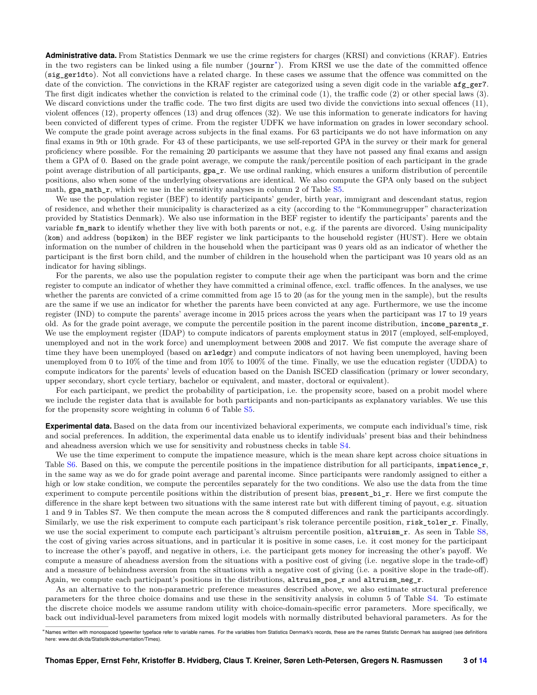**Administrative data.** From Statistics Denmark we use the crime registers for charges (KRSI) and convictions (KRAF). Entries in the two registers can be linked using a file number (journr[∗](#page-0-0) ). From KRSI we use the date of the committed offence (sig\_ger1dto). Not all convictions have a related charge. In these cases we assume that the offence was committed on the date of the conviction. The convictions in the KRAF register are categorized using a seven digit code in the variable  $\arg_{g}$ er7. The first digit indicates whether the conviction is related to the criminal code (1), the traffic code (2) or other special laws (3). We discard convictions under the traffic code. The two first digits are used two divide the convictions into sexual offences (11), violent offences (12), property offences (13) and drug offences (32). We use this information to generate indicators for having been convicted of different types of crime. From the register UDFK we have information on grades in lower secondary school. We compute the grade point average across subjects in the final exams. For 63 participants we do not have information on any final exams in 9th or 10th grade. For 43 of these participants, we use self-reported GPA in the survey or their mark for general proficiency where possible. For the remaining 20 participants we assume that they have not passed any final exams and assign them a GPA of 0. Based on the grade point average, we compute the rank/percentile position of each participant in the grade point average distribution of all participants, gpa\_r. We use ordinal ranking, which ensures a uniform distribution of percentile positions, also when some of the underlying observations are identical. We also compute the GPA only based on the subject math, gpa\_math\_r, which we use in the sensitivity analyses in column 2 of Table [S5.](#page-9-0)

We use the population register (BEF) to identify participants' gender, birth year, immigrant and descendant status, region of residence, and whether their municipality is characterized as a city (according to the "Kommunegrupper" characterization provided by Statistics Denmark). We also use information in the BEF register to identify the participants' parents and the variable fm\_mark to identify whether they live with both parents or not, e.g. if the parents are divorced. Using municipality (kom) and address (bopikom) in the BEF register we link participants to the household register (HUST). Here we obtain information on the number of children in the household when the participant was 0 years old as an indicator of whether the participant is the first born child, and the number of children in the household when the participant was 10 years old as an indicator for having siblings.

For the parents, we also use the population register to compute their age when the participant was born and the crime register to compute an indicator of whether they have committed a criminal offence, excl. traffic offences. In the analyses, we use whether the parents are convicted of a crime committed from age 15 to 20 (as for the young men in the sample), but the results are the same if we use an indicator for whether the parents have been convicted at any age. Furthermore, we use the income register (IND) to compute the parents' average income in 2015 prices across the years when the participant was 17 to 19 years old. As for the grade point average, we compute the percentile position in the parent income distribution, income\_parents\_r. We use the employment register (IDAP) to compute indicators of parents employment status in 2017 (employed, self-employed, unemployed and not in the work force) and unemployment between 2008 and 2017. We fist compute the average share of time they have been unemployed (based on arledgr) and compute indicators of not having been unemployed, having been unemployed from 0 to 10% of the time and from 10% to 100% of the time. Finally, we use the education register (UDDA) to compute indicators for the parents' levels of education based on the Danish ISCED classification (primary or lower secondary, upper secondary, short cycle tertiary, bachelor or equivalent, and master, doctoral or equivalent).

For each participant, we predict the probability of participation, i.e. the propensity score, based on a probit model where we include the register data that is available for both participants and non-participants as explanatory variables. We use this for the propensity score weighting in column 6 of Table [S5.](#page-9-0)

**Experimental data.** Based on the data from our incentivized behavioral experiments, we compute each individual's time, risk and social preferences. In addition, the experimental data enable us to identify individuals' present bias and their behindness and aheadness aversion which we use for sensitivity and robustness checks in table [S4.](#page-8-0)

We use the time experiment to compute the impatience measure, which is the mean share kept across choice situations in Table [S6.](#page-10-0) Based on this, we compute the percentile positions in the impatience distribution for all participants, impatience  $r$ , in the same way as we do for grade point average and parental income. Since participants were randomly assigned to either a high or low stake condition, we compute the percentiles separately for the two conditions. We also use the data from the time experiment to compute percentile positions within the distribution of present bias, present\_bi\_r. Here we first compute the difference in the share kept between two situations with the same interest rate but with different timing of payout, e.g. situation 1 and 9 in Tables S7. We then compute the mean across the 8 computed differences and rank the participants accordingly. Similarly, we use the risk experiment to compute each participant's risk tolerance percentile position, risk\_toler\_r. Finally, we use the social experiment to compute each participant's altruism percentile position, altruism\_r. As seen in Table [S8,](#page-12-0) the cost of giving varies across situations, and in particular it is positive in some cases, i.e. it cost money for the participant to increase the other's payoff, and negative in others, i.e. the participant gets money for increasing the other's payoff. We compute a measure of aheadness aversion from the situations with a positive cost of giving (i.e. negative slope in the trade-off) and a measure of behindness aversion from the situations with a negative cost of giving (i.e. a positive slope in the trade-off). Again, we compute each participant's positions in the distributions, altruism\_pos\_r and altruism\_neg\_r.

As an alternative to the non-parametric preference measures described above, we also estimate structural preference parameters for the three choice domains and use these in the sensitivity analysis in column 5 of Table [S4.](#page-8-0) To estimate the discrete choice models we assume random utility with choice-domain-specific error parameters. More specifically, we back out individual-level parameters from mixed logit models with normally distributed behavioral parameters. As for the

<sup>∗</sup>Names written with monospaced typewriter typeface refer to variable names. For the variables from Statistics Denmark's records, these are the names Statistic Denmark has assigned (see definitions here: www.dst.dk/da/Statistik/dokumentation/Times).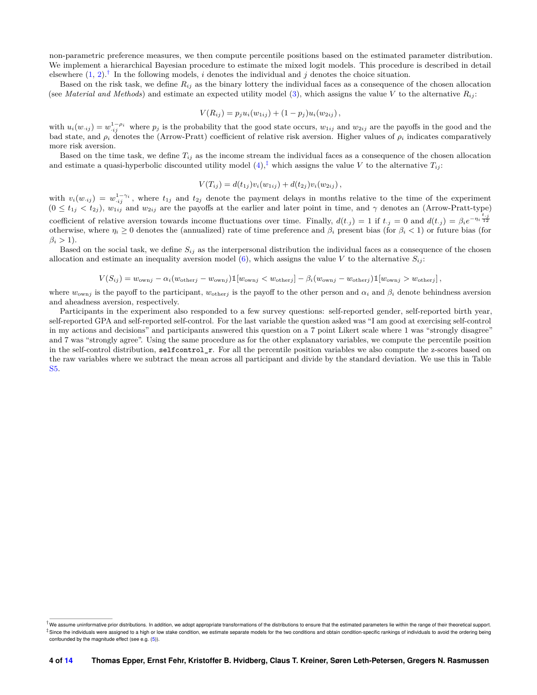non-parametric preference measures, we then compute percentile positions based on the estimated parameter distribution. We implement a hierarchical Bayesian procedure to estimate the mixed logit models. This procedure is described in detail elsewhere  $(1, 2)$  $(1, 2)$  $(1, 2)$ .<sup>[†](#page-0-0)</sup> In the following models, *i* denotes the individual and *j* denotes the choice situation.

Based on the risk task, we define *Rij* as the binary lottery the individual faces as a consequence of the chosen allocation (see *Material and Methods*) and estimate an expected utility model [\(3\)](#page-13-3), which assigns the value *V* to the alternative  $R_{ij}$ :

$$
V(R_{ij}) = p_j u_i(w_{1ij}) + (1 - p_j) u_i(w_{2ij}),
$$

with  $u_i(w_{ij}) = w_{ij}^{1-\rho_i}$  where  $p_j$  is the probability that the good state occurs,  $w_{1ij}$  and  $w_{2ij}$  are the payoffs in the good and the bad state, and  $\rho_i$  denotes the (Arrow-Pratt) coefficient of relative risk aversion. Higher values of  $\rho_i$  indicates comparatively more risk aversion.

Based on the time task, we define  $T_{ij}$  as the income stream the individual faces as a consequence of the chosen allocation and estimate a quasi-hyperbolic discounted utility model  $(4)$ ,<sup> $\ddagger$ </sup> which assigns the value *V* to the alternative  $T_{ij}$ :

$$
V(T_{ij}) = d(t_{1j})v_i(w_{1ij}) + d(t_{2j})v_i(w_{2ij}),
$$

with  $v_i(w_{ij}) = w_{ij}^{1-\gamma_i}$ , where  $t_{1j}$  and  $t_{2j}$  denote the payment delays in months relative to the time of the experiment  $(0 \le t_{1j} < t_{2j})$ ,  $w_{1ij}$  and  $w_{2ij}$  are the payoffs at the earlier and later point in time, and  $\gamma$  denotes an (Arrow-Pratt-type) coefficient of relative aversion towards income fluctuations over time. Finally,  $d(t_{.j}) = 1$  if  $t_{.j} = 0$  and  $d(t_{.j}) = \beta_i e^{-\eta_i \frac{t_{.j}}{12}}$ otherwise, where  $\eta_i \geq 0$  denotes the (annualized) rate of time preference and  $\beta_i$  present bias (for  $\beta_i < 1$ ) or future bias (for  $\beta_i > 1$ ).

Based on the social task, we define  $S_{ij}$  as the interpersonal distribution the individual faces as a consequence of the chosen allocation and estimate an inequality aversion model  $(6)$ , which assigns the value *V* to the alternative  $S_{ij}$ :

$$
V(S_{ij}) = w_{\text{own}j} - \alpha_i (w_{\text{other}j} - w_{\text{own}j}) \mathbb{1}[w_{\text{own}j} < w_{\text{other}j}] - \beta_i (w_{\text{own}j} - w_{\text{other}j}) \mathbb{1}[w_{\text{own}j} > w_{\text{other}j}],
$$

where  $w_{owni}$  is the payoff to the participant,  $w_{otherj}$  is the payoff to the other person and  $\alpha_i$  and  $\beta_i$  denote behindness aversion and aheadness aversion, respectively.

Participants in the experiment also responded to a few survey questions: self-reported gender, self-reported birth year, self-reported GPA and self-reported self-control. For the last variable the question asked was "I am good at exercising self-control in my actions and decisions" and participants answered this question on a 7 point Likert scale where 1 was "strongly disagree" and 7 was "strongly agree". Using the same procedure as for the other explanatory variables, we compute the percentile position in the self-control distribution, selfcontrol r. For all the percentile position variables we also compute the z-scores based on the raw variables where we subtract the mean across all participant and divide by the standard deviation. We use this in Table [S5.](#page-9-0)

<sup>&</sup>lt;sup>†</sup>We assume uninformative prior distributions. In addition, we adopt appropriate transformations of the distributions to ensure that the estimated parameters lie within the range of their theoretical support ‡ Since the individuals were assigned to a high or low stake condition, we estimate separate models for the two conditions and obtain condition-specific rankings of individuals to avoid the ordering being confounded by the magnitude effect (see e.g. [\(5\)](#page-13-6)).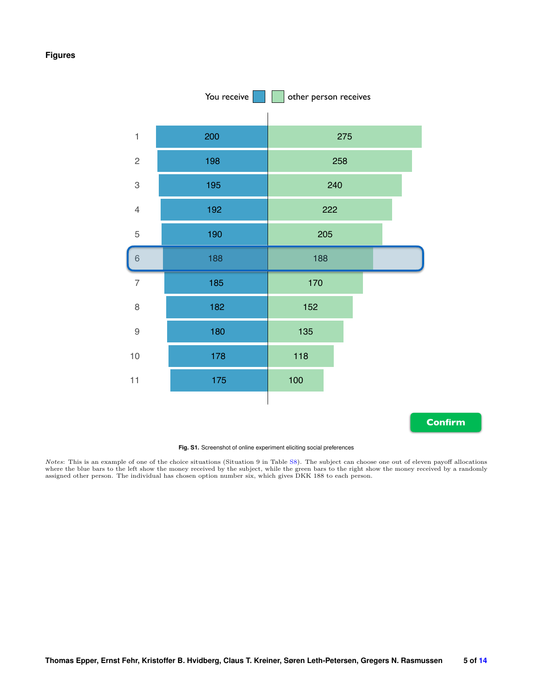## **Figures**



**Confirm**

#### **Fig. S1.** Screenshot of online experiment eliciting social preferences

*Notes*: This is an example of one of the choice situations (Situation 9 in Table [S8\)](#page-12-0). The subject can choose one out of eleven payoff allocations where the blue bars to the left show the money received by the subject, whi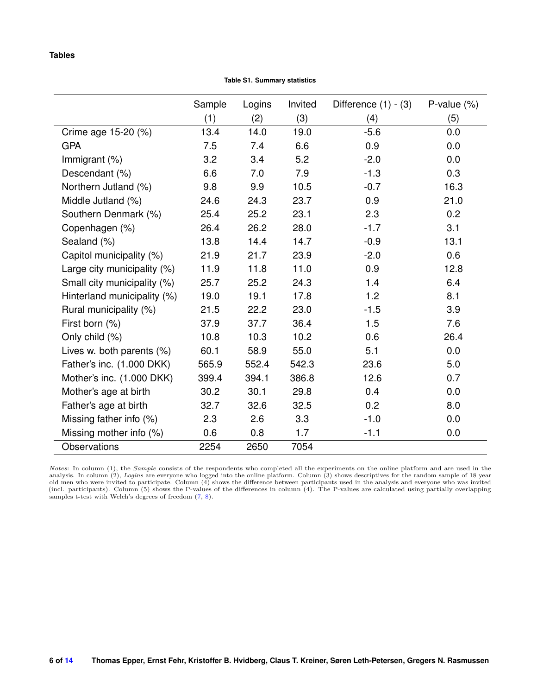## **Tables**

**Table S1. Summary statistics**

|                             | Sample | Logins | Invited | Difference $(1) - (3)$ | P-value $(\%)$ |
|-----------------------------|--------|--------|---------|------------------------|----------------|
|                             | (1)    | (2)    | (3)     | (4)                    | (5)            |
| Crime age 15-20 (%)         | 13.4   | 14.0   | 19.0    | $-5.6$                 | 0.0            |
| <b>GPA</b>                  | 7.5    | 7.4    | 6.6     | 0.9                    | 0.0            |
| Immigrant (%)               | 3.2    | 3.4    | 5.2     | $-2.0$                 | 0.0            |
| Descendant (%)              | 6.6    | 7.0    | 7.9     | $-1.3$                 | 0.3            |
| Northern Jutland (%)        | 9.8    | 9.9    | 10.5    | $-0.7$                 | 16.3           |
| Middle Jutland (%)          | 24.6   | 24.3   | 23.7    | 0.9                    | 21.0           |
| Southern Denmark (%)        | 25.4   | 25.2   | 23.1    | 2.3                    | 0.2            |
| Copenhagen (%)              | 26.4   | 26.2   | 28.0    | $-1.7$                 | 3.1            |
| Sealand (%)                 | 13.8   | 14.4   | 14.7    | $-0.9$                 | 13.1           |
| Capitol municipality (%)    | 21.9   | 21.7   | 23.9    | $-2.0$                 | 0.6            |
| Large city municipality (%) | 11.9   | 11.8   | 11.0    | 0.9                    | 12.8           |
| Small city municipality (%) | 25.7   | 25.2   | 24.3    | 1.4                    | 6.4            |
| Hinterland municipality (%) | 19.0   | 19.1   | 17.8    | 1.2                    | 8.1            |
| Rural municipality (%)      | 21.5   | 22.2   | 23.0    | $-1.5$                 | 3.9            |
| First born (%)              | 37.9   | 37.7   | 36.4    | 1.5                    | 7.6            |
| Only child (%)              | 10.8   | 10.3   | 10.2    | 0.6                    | 26.4           |
| Lives w. both parents (%)   | 60.1   | 58.9   | 55.0    | 5.1                    | 0.0            |
| Father's inc. (1.000 DKK)   | 565.9  | 552.4  | 542.3   | 23.6                   | 5.0            |
| Mother's inc. (1.000 DKK)   | 399.4  | 394.1  | 386.8   | 12.6                   | 0.7            |
| Mother's age at birth       | 30.2   | 30.1   | 29.8    | 0.4                    | 0.0            |
| Father's age at birth       | 32.7   | 32.6   | 32.5    | 0.2                    | 8.0            |
| Missing father info (%)     | 2.3    | 2.6    | 3.3     | $-1.0$                 | 0.0            |
| Missing mother info (%)     | 0.6    | 0.8    | 1.7     | $-1.1$                 | 0.0            |
| <b>Observations</b>         | 2254   | 2650   | 7054    |                        |                |

*Notes*: In column (1), the *Sample* consists of the respondents who completed all the experiments on the online platform and are used in the analysis. In column (2), *Logins* are everyone who logged into the online platf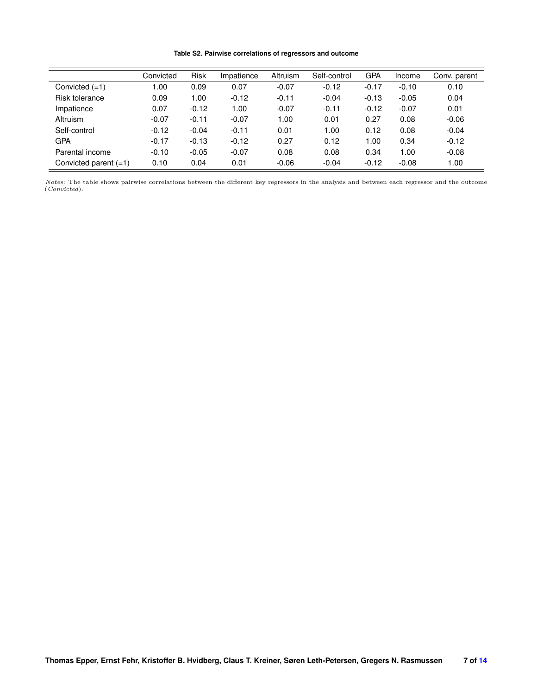#### **Table S2. Pairwise correlations of regressors and outcome**

|                         | Convicted | <b>Risk</b> | Impatience | Altruism | Self-control | <b>GPA</b> | Income  | Conv. parent |
|-------------------------|-----------|-------------|------------|----------|--------------|------------|---------|--------------|
| Convicted $(=1)$        | 1.00      | 0.09        | 0.07       | $-0.07$  | $-0.12$      | $-0.17$    | $-0.10$ | 0.10         |
| Risk tolerance          | 0.09      | 1.00        | $-0.12$    | $-0.11$  | $-0.04$      | $-0.13$    | $-0.05$ | 0.04         |
| Impatience              | 0.07      | $-0.12$     | 1.00       | $-0.07$  | $-0.11$      | $-0.12$    | $-0.07$ | 0.01         |
| Altruism                | $-0.07$   | $-0.11$     | $-0.07$    | 1.00     | 0.01         | 0.27       | 0.08    | $-0.06$      |
| Self-control            | $-0.12$   | $-0.04$     | $-0.11$    | 0.01     | 1.00         | 0.12       | 0.08    | $-0.04$      |
| <b>GPA</b>              | $-0.17$   | $-0.13$     | $-0.12$    | 0.27     | 0.12         | 1.00       | 0.34    | $-0.12$      |
| Parental income         | $-0.10$   | $-0.05$     | $-0.07$    | 0.08     | 0.08         | 0.34       | 1.00    | $-0.08$      |
| Convicted parent $(=1)$ | 0.10      | 0.04        | 0.01       | $-0.06$  | $-0.04$      | $-0.12$    | $-0.08$ | 1.00         |

*Notes*: The table shows pairwise correlations between the different key regressors in the analysis and between each regressor and the outcome (*Convicted*).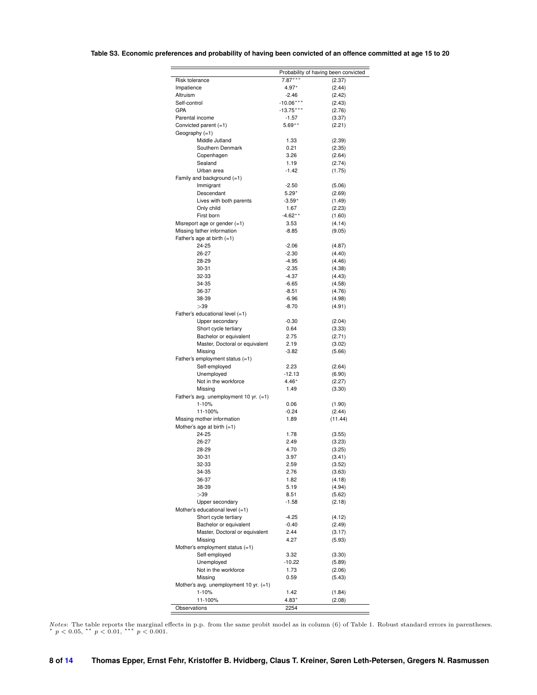## **Table S3. Economic preferences and probability of having been convicted of an offence committed at age 15 to 20**

| $7.87***$<br>Risk tolerance<br>(2.37)<br>Impatience<br>4.97*<br>(2.44)<br>Altruism<br>(2.42)<br>-2.46<br>$-10.06***$<br>Self-control<br>(2.43)<br>GPA<br>$-13.75***$<br>(2.76)<br>Parental income<br>(3.37)<br>$-1.57$<br>Convicted parent (=1)<br>$5.69***$<br>(2.21)<br>Geography (=1)<br>Middle Jutland<br>1.33<br>(2.39)<br>Southern Denmark<br>0.21<br>(2.35)<br>3.26<br>(2.64)<br>Copenhagen<br>Sealand<br>1.19<br>(2.74)<br>Urban area<br>$-1.42$<br>(1.75)<br>Family and background $(=1)$<br>Immigrant<br>$-2.50$<br>(5.06)<br>Descendant<br>$5.29*$<br>(2.69)<br>Lives with both parents<br>$-3.59*$<br>(1.49)<br>Only child<br>1.67<br>(2.23)<br>First born<br>$-4.62**$<br>(1.60)<br>Misreport age or gender $(=1)$<br>3.53<br>(4.14)<br>Missing father information<br>(9.05)<br>-8.85<br>Father's age at birth $(=1)$<br>24-25<br>$-2.06$<br>(4.87)<br>26-27<br>$-2.30$<br>(4.40)<br>28-29<br>$-4.95$<br>(4.46)<br>30-31<br>$-2.35$<br>(4.38)<br>32-33<br>$-4.37$<br>(4.43)<br>34-35<br>$-6.65$<br>(4.58)<br>36-37<br>$-8.51$<br>(4.76)<br>38-39<br>$-6.96$<br>(4.98)<br>>39<br>$-8.70$<br>(4.91)<br>Father's educational level $(=1)$<br>Upper secondary<br>$-0.30$<br>(2.04)<br>Short cycle tertiary<br>0.64<br>(3.33)<br>Bachelor or equivalent<br>2.75<br>(2.71)<br>Master, Doctoral or equivalent<br>2.19<br>(3.02)<br>Missing<br>$-3.82$<br>(5.66)<br>Father's employment status (=1)<br>Self-employed<br>2.23<br>(2.64)<br>Unemployed<br>-12.13<br>(6.90)<br>Not in the workforce<br>$4.46*$<br>(2.27)<br>Missing<br>1.49<br>(3.30)<br>Father's avg. unemployment 10 yr. $(=1)$<br>1-10%<br>0.06<br>(1.90)<br>11-100%<br>$-0.24$<br>(2.44)<br>Missing mother information<br>1.89<br>(11.44)<br>Mother's age at birth $(=1)$<br>24-25<br>1.78<br>(3.55)<br>26-27<br>2.49<br>(3.23)<br>28-29<br>4.70<br>(3.25)<br>30-31<br>3.97<br>(3.41)<br>32-33<br>2.59<br>(3.52)<br>34-35<br>2.76<br>(3.63)<br>(4.18)<br>36-37<br>1.82<br>(4.94)<br>38-39<br>5.19<br>>39<br>8.51<br>(5.62)<br>Upper secondary<br>$-1.58$<br>(2.18)<br>Mother's educational level $(=1)$<br>Short cycle tertiary<br>$-4.25$<br>(4.12)<br>Bachelor or equivalent<br>$-0.40$<br>(2.49)<br>Master, Doctoral or equivalent<br>2.44<br>(3.17)<br>4.27<br>Missing<br>(5.93)<br>Mother's employment status (=1)<br>Self-employed<br>3.32<br>(3.30)<br>Unemployed<br>$-10.22$<br>(5.89)<br>Not in the workforce<br>1.73<br>(2.06)<br>Missing<br>0.59<br>(5.43)<br>Mother's avg. unemployment 10 yr. (=1)<br>$1 - 10%$<br>1.42<br>(1.84)<br>11-100%<br>$4.83*$<br>(2.08)<br>2254 |              | Probability of having been convicted |
|--------------------------------------------------------------------------------------------------------------------------------------------------------------------------------------------------------------------------------------------------------------------------------------------------------------------------------------------------------------------------------------------------------------------------------------------------------------------------------------------------------------------------------------------------------------------------------------------------------------------------------------------------------------------------------------------------------------------------------------------------------------------------------------------------------------------------------------------------------------------------------------------------------------------------------------------------------------------------------------------------------------------------------------------------------------------------------------------------------------------------------------------------------------------------------------------------------------------------------------------------------------------------------------------------------------------------------------------------------------------------------------------------------------------------------------------------------------------------------------------------------------------------------------------------------------------------------------------------------------------------------------------------------------------------------------------------------------------------------------------------------------------------------------------------------------------------------------------------------------------------------------------------------------------------------------------------------------------------------------------------------------------------------------------------------------------------------------------------------------------------------------------------------------------------------------------------------------------------------------------------------------------------------------------------------------------------------------------------------------------------------------------------------------------------------------------------------------------------------------------------------------------------------------------------------------|--------------|--------------------------------------|
|                                                                                                                                                                                                                                                                                                                                                                                                                                                                                                                                                                                                                                                                                                                                                                                                                                                                                                                                                                                                                                                                                                                                                                                                                                                                                                                                                                                                                                                                                                                                                                                                                                                                                                                                                                                                                                                                                                                                                                                                                                                                                                                                                                                                                                                                                                                                                                                                                                                                                                                                                              |              |                                      |
|                                                                                                                                                                                                                                                                                                                                                                                                                                                                                                                                                                                                                                                                                                                                                                                                                                                                                                                                                                                                                                                                                                                                                                                                                                                                                                                                                                                                                                                                                                                                                                                                                                                                                                                                                                                                                                                                                                                                                                                                                                                                                                                                                                                                                                                                                                                                                                                                                                                                                                                                                              |              |                                      |
|                                                                                                                                                                                                                                                                                                                                                                                                                                                                                                                                                                                                                                                                                                                                                                                                                                                                                                                                                                                                                                                                                                                                                                                                                                                                                                                                                                                                                                                                                                                                                                                                                                                                                                                                                                                                                                                                                                                                                                                                                                                                                                                                                                                                                                                                                                                                                                                                                                                                                                                                                              |              |                                      |
|                                                                                                                                                                                                                                                                                                                                                                                                                                                                                                                                                                                                                                                                                                                                                                                                                                                                                                                                                                                                                                                                                                                                                                                                                                                                                                                                                                                                                                                                                                                                                                                                                                                                                                                                                                                                                                                                                                                                                                                                                                                                                                                                                                                                                                                                                                                                                                                                                                                                                                                                                              |              |                                      |
|                                                                                                                                                                                                                                                                                                                                                                                                                                                                                                                                                                                                                                                                                                                                                                                                                                                                                                                                                                                                                                                                                                                                                                                                                                                                                                                                                                                                                                                                                                                                                                                                                                                                                                                                                                                                                                                                                                                                                                                                                                                                                                                                                                                                                                                                                                                                                                                                                                                                                                                                                              |              |                                      |
|                                                                                                                                                                                                                                                                                                                                                                                                                                                                                                                                                                                                                                                                                                                                                                                                                                                                                                                                                                                                                                                                                                                                                                                                                                                                                                                                                                                                                                                                                                                                                                                                                                                                                                                                                                                                                                                                                                                                                                                                                                                                                                                                                                                                                                                                                                                                                                                                                                                                                                                                                              |              |                                      |
|                                                                                                                                                                                                                                                                                                                                                                                                                                                                                                                                                                                                                                                                                                                                                                                                                                                                                                                                                                                                                                                                                                                                                                                                                                                                                                                                                                                                                                                                                                                                                                                                                                                                                                                                                                                                                                                                                                                                                                                                                                                                                                                                                                                                                                                                                                                                                                                                                                                                                                                                                              |              |                                      |
|                                                                                                                                                                                                                                                                                                                                                                                                                                                                                                                                                                                                                                                                                                                                                                                                                                                                                                                                                                                                                                                                                                                                                                                                                                                                                                                                                                                                                                                                                                                                                                                                                                                                                                                                                                                                                                                                                                                                                                                                                                                                                                                                                                                                                                                                                                                                                                                                                                                                                                                                                              |              |                                      |
|                                                                                                                                                                                                                                                                                                                                                                                                                                                                                                                                                                                                                                                                                                                                                                                                                                                                                                                                                                                                                                                                                                                                                                                                                                                                                                                                                                                                                                                                                                                                                                                                                                                                                                                                                                                                                                                                                                                                                                                                                                                                                                                                                                                                                                                                                                                                                                                                                                                                                                                                                              |              |                                      |
|                                                                                                                                                                                                                                                                                                                                                                                                                                                                                                                                                                                                                                                                                                                                                                                                                                                                                                                                                                                                                                                                                                                                                                                                                                                                                                                                                                                                                                                                                                                                                                                                                                                                                                                                                                                                                                                                                                                                                                                                                                                                                                                                                                                                                                                                                                                                                                                                                                                                                                                                                              |              |                                      |
|                                                                                                                                                                                                                                                                                                                                                                                                                                                                                                                                                                                                                                                                                                                                                                                                                                                                                                                                                                                                                                                                                                                                                                                                                                                                                                                                                                                                                                                                                                                                                                                                                                                                                                                                                                                                                                                                                                                                                                                                                                                                                                                                                                                                                                                                                                                                                                                                                                                                                                                                                              |              |                                      |
|                                                                                                                                                                                                                                                                                                                                                                                                                                                                                                                                                                                                                                                                                                                                                                                                                                                                                                                                                                                                                                                                                                                                                                                                                                                                                                                                                                                                                                                                                                                                                                                                                                                                                                                                                                                                                                                                                                                                                                                                                                                                                                                                                                                                                                                                                                                                                                                                                                                                                                                                                              |              |                                      |
|                                                                                                                                                                                                                                                                                                                                                                                                                                                                                                                                                                                                                                                                                                                                                                                                                                                                                                                                                                                                                                                                                                                                                                                                                                                                                                                                                                                                                                                                                                                                                                                                                                                                                                                                                                                                                                                                                                                                                                                                                                                                                                                                                                                                                                                                                                                                                                                                                                                                                                                                                              |              |                                      |
|                                                                                                                                                                                                                                                                                                                                                                                                                                                                                                                                                                                                                                                                                                                                                                                                                                                                                                                                                                                                                                                                                                                                                                                                                                                                                                                                                                                                                                                                                                                                                                                                                                                                                                                                                                                                                                                                                                                                                                                                                                                                                                                                                                                                                                                                                                                                                                                                                                                                                                                                                              |              |                                      |
|                                                                                                                                                                                                                                                                                                                                                                                                                                                                                                                                                                                                                                                                                                                                                                                                                                                                                                                                                                                                                                                                                                                                                                                                                                                                                                                                                                                                                                                                                                                                                                                                                                                                                                                                                                                                                                                                                                                                                                                                                                                                                                                                                                                                                                                                                                                                                                                                                                                                                                                                                              |              |                                      |
|                                                                                                                                                                                                                                                                                                                                                                                                                                                                                                                                                                                                                                                                                                                                                                                                                                                                                                                                                                                                                                                                                                                                                                                                                                                                                                                                                                                                                                                                                                                                                                                                                                                                                                                                                                                                                                                                                                                                                                                                                                                                                                                                                                                                                                                                                                                                                                                                                                                                                                                                                              |              |                                      |
|                                                                                                                                                                                                                                                                                                                                                                                                                                                                                                                                                                                                                                                                                                                                                                                                                                                                                                                                                                                                                                                                                                                                                                                                                                                                                                                                                                                                                                                                                                                                                                                                                                                                                                                                                                                                                                                                                                                                                                                                                                                                                                                                                                                                                                                                                                                                                                                                                                                                                                                                                              |              |                                      |
|                                                                                                                                                                                                                                                                                                                                                                                                                                                                                                                                                                                                                                                                                                                                                                                                                                                                                                                                                                                                                                                                                                                                                                                                                                                                                                                                                                                                                                                                                                                                                                                                                                                                                                                                                                                                                                                                                                                                                                                                                                                                                                                                                                                                                                                                                                                                                                                                                                                                                                                                                              |              |                                      |
|                                                                                                                                                                                                                                                                                                                                                                                                                                                                                                                                                                                                                                                                                                                                                                                                                                                                                                                                                                                                                                                                                                                                                                                                                                                                                                                                                                                                                                                                                                                                                                                                                                                                                                                                                                                                                                                                                                                                                                                                                                                                                                                                                                                                                                                                                                                                                                                                                                                                                                                                                              |              |                                      |
|                                                                                                                                                                                                                                                                                                                                                                                                                                                                                                                                                                                                                                                                                                                                                                                                                                                                                                                                                                                                                                                                                                                                                                                                                                                                                                                                                                                                                                                                                                                                                                                                                                                                                                                                                                                                                                                                                                                                                                                                                                                                                                                                                                                                                                                                                                                                                                                                                                                                                                                                                              |              |                                      |
|                                                                                                                                                                                                                                                                                                                                                                                                                                                                                                                                                                                                                                                                                                                                                                                                                                                                                                                                                                                                                                                                                                                                                                                                                                                                                                                                                                                                                                                                                                                                                                                                                                                                                                                                                                                                                                                                                                                                                                                                                                                                                                                                                                                                                                                                                                                                                                                                                                                                                                                                                              |              |                                      |
|                                                                                                                                                                                                                                                                                                                                                                                                                                                                                                                                                                                                                                                                                                                                                                                                                                                                                                                                                                                                                                                                                                                                                                                                                                                                                                                                                                                                                                                                                                                                                                                                                                                                                                                                                                                                                                                                                                                                                                                                                                                                                                                                                                                                                                                                                                                                                                                                                                                                                                                                                              |              |                                      |
|                                                                                                                                                                                                                                                                                                                                                                                                                                                                                                                                                                                                                                                                                                                                                                                                                                                                                                                                                                                                                                                                                                                                                                                                                                                                                                                                                                                                                                                                                                                                                                                                                                                                                                                                                                                                                                                                                                                                                                                                                                                                                                                                                                                                                                                                                                                                                                                                                                                                                                                                                              |              |                                      |
|                                                                                                                                                                                                                                                                                                                                                                                                                                                                                                                                                                                                                                                                                                                                                                                                                                                                                                                                                                                                                                                                                                                                                                                                                                                                                                                                                                                                                                                                                                                                                                                                                                                                                                                                                                                                                                                                                                                                                                                                                                                                                                                                                                                                                                                                                                                                                                                                                                                                                                                                                              |              |                                      |
|                                                                                                                                                                                                                                                                                                                                                                                                                                                                                                                                                                                                                                                                                                                                                                                                                                                                                                                                                                                                                                                                                                                                                                                                                                                                                                                                                                                                                                                                                                                                                                                                                                                                                                                                                                                                                                                                                                                                                                                                                                                                                                                                                                                                                                                                                                                                                                                                                                                                                                                                                              |              |                                      |
|                                                                                                                                                                                                                                                                                                                                                                                                                                                                                                                                                                                                                                                                                                                                                                                                                                                                                                                                                                                                                                                                                                                                                                                                                                                                                                                                                                                                                                                                                                                                                                                                                                                                                                                                                                                                                                                                                                                                                                                                                                                                                                                                                                                                                                                                                                                                                                                                                                                                                                                                                              |              |                                      |
|                                                                                                                                                                                                                                                                                                                                                                                                                                                                                                                                                                                                                                                                                                                                                                                                                                                                                                                                                                                                                                                                                                                                                                                                                                                                                                                                                                                                                                                                                                                                                                                                                                                                                                                                                                                                                                                                                                                                                                                                                                                                                                                                                                                                                                                                                                                                                                                                                                                                                                                                                              |              |                                      |
|                                                                                                                                                                                                                                                                                                                                                                                                                                                                                                                                                                                                                                                                                                                                                                                                                                                                                                                                                                                                                                                                                                                                                                                                                                                                                                                                                                                                                                                                                                                                                                                                                                                                                                                                                                                                                                                                                                                                                                                                                                                                                                                                                                                                                                                                                                                                                                                                                                                                                                                                                              |              |                                      |
|                                                                                                                                                                                                                                                                                                                                                                                                                                                                                                                                                                                                                                                                                                                                                                                                                                                                                                                                                                                                                                                                                                                                                                                                                                                                                                                                                                                                                                                                                                                                                                                                                                                                                                                                                                                                                                                                                                                                                                                                                                                                                                                                                                                                                                                                                                                                                                                                                                                                                                                                                              |              |                                      |
|                                                                                                                                                                                                                                                                                                                                                                                                                                                                                                                                                                                                                                                                                                                                                                                                                                                                                                                                                                                                                                                                                                                                                                                                                                                                                                                                                                                                                                                                                                                                                                                                                                                                                                                                                                                                                                                                                                                                                                                                                                                                                                                                                                                                                                                                                                                                                                                                                                                                                                                                                              |              |                                      |
|                                                                                                                                                                                                                                                                                                                                                                                                                                                                                                                                                                                                                                                                                                                                                                                                                                                                                                                                                                                                                                                                                                                                                                                                                                                                                                                                                                                                                                                                                                                                                                                                                                                                                                                                                                                                                                                                                                                                                                                                                                                                                                                                                                                                                                                                                                                                                                                                                                                                                                                                                              |              |                                      |
|                                                                                                                                                                                                                                                                                                                                                                                                                                                                                                                                                                                                                                                                                                                                                                                                                                                                                                                                                                                                                                                                                                                                                                                                                                                                                                                                                                                                                                                                                                                                                                                                                                                                                                                                                                                                                                                                                                                                                                                                                                                                                                                                                                                                                                                                                                                                                                                                                                                                                                                                                              |              |                                      |
|                                                                                                                                                                                                                                                                                                                                                                                                                                                                                                                                                                                                                                                                                                                                                                                                                                                                                                                                                                                                                                                                                                                                                                                                                                                                                                                                                                                                                                                                                                                                                                                                                                                                                                                                                                                                                                                                                                                                                                                                                                                                                                                                                                                                                                                                                                                                                                                                                                                                                                                                                              |              |                                      |
|                                                                                                                                                                                                                                                                                                                                                                                                                                                                                                                                                                                                                                                                                                                                                                                                                                                                                                                                                                                                                                                                                                                                                                                                                                                                                                                                                                                                                                                                                                                                                                                                                                                                                                                                                                                                                                                                                                                                                                                                                                                                                                                                                                                                                                                                                                                                                                                                                                                                                                                                                              |              |                                      |
|                                                                                                                                                                                                                                                                                                                                                                                                                                                                                                                                                                                                                                                                                                                                                                                                                                                                                                                                                                                                                                                                                                                                                                                                                                                                                                                                                                                                                                                                                                                                                                                                                                                                                                                                                                                                                                                                                                                                                                                                                                                                                                                                                                                                                                                                                                                                                                                                                                                                                                                                                              |              |                                      |
|                                                                                                                                                                                                                                                                                                                                                                                                                                                                                                                                                                                                                                                                                                                                                                                                                                                                                                                                                                                                                                                                                                                                                                                                                                                                                                                                                                                                                                                                                                                                                                                                                                                                                                                                                                                                                                                                                                                                                                                                                                                                                                                                                                                                                                                                                                                                                                                                                                                                                                                                                              |              |                                      |
|                                                                                                                                                                                                                                                                                                                                                                                                                                                                                                                                                                                                                                                                                                                                                                                                                                                                                                                                                                                                                                                                                                                                                                                                                                                                                                                                                                                                                                                                                                                                                                                                                                                                                                                                                                                                                                                                                                                                                                                                                                                                                                                                                                                                                                                                                                                                                                                                                                                                                                                                                              |              |                                      |
|                                                                                                                                                                                                                                                                                                                                                                                                                                                                                                                                                                                                                                                                                                                                                                                                                                                                                                                                                                                                                                                                                                                                                                                                                                                                                                                                                                                                                                                                                                                                                                                                                                                                                                                                                                                                                                                                                                                                                                                                                                                                                                                                                                                                                                                                                                                                                                                                                                                                                                                                                              |              |                                      |
|                                                                                                                                                                                                                                                                                                                                                                                                                                                                                                                                                                                                                                                                                                                                                                                                                                                                                                                                                                                                                                                                                                                                                                                                                                                                                                                                                                                                                                                                                                                                                                                                                                                                                                                                                                                                                                                                                                                                                                                                                                                                                                                                                                                                                                                                                                                                                                                                                                                                                                                                                              |              |                                      |
|                                                                                                                                                                                                                                                                                                                                                                                                                                                                                                                                                                                                                                                                                                                                                                                                                                                                                                                                                                                                                                                                                                                                                                                                                                                                                                                                                                                                                                                                                                                                                                                                                                                                                                                                                                                                                                                                                                                                                                                                                                                                                                                                                                                                                                                                                                                                                                                                                                                                                                                                                              |              |                                      |
|                                                                                                                                                                                                                                                                                                                                                                                                                                                                                                                                                                                                                                                                                                                                                                                                                                                                                                                                                                                                                                                                                                                                                                                                                                                                                                                                                                                                                                                                                                                                                                                                                                                                                                                                                                                                                                                                                                                                                                                                                                                                                                                                                                                                                                                                                                                                                                                                                                                                                                                                                              |              |                                      |
|                                                                                                                                                                                                                                                                                                                                                                                                                                                                                                                                                                                                                                                                                                                                                                                                                                                                                                                                                                                                                                                                                                                                                                                                                                                                                                                                                                                                                                                                                                                                                                                                                                                                                                                                                                                                                                                                                                                                                                                                                                                                                                                                                                                                                                                                                                                                                                                                                                                                                                                                                              |              |                                      |
|                                                                                                                                                                                                                                                                                                                                                                                                                                                                                                                                                                                                                                                                                                                                                                                                                                                                                                                                                                                                                                                                                                                                                                                                                                                                                                                                                                                                                                                                                                                                                                                                                                                                                                                                                                                                                                                                                                                                                                                                                                                                                                                                                                                                                                                                                                                                                                                                                                                                                                                                                              |              |                                      |
|                                                                                                                                                                                                                                                                                                                                                                                                                                                                                                                                                                                                                                                                                                                                                                                                                                                                                                                                                                                                                                                                                                                                                                                                                                                                                                                                                                                                                                                                                                                                                                                                                                                                                                                                                                                                                                                                                                                                                                                                                                                                                                                                                                                                                                                                                                                                                                                                                                                                                                                                                              |              |                                      |
|                                                                                                                                                                                                                                                                                                                                                                                                                                                                                                                                                                                                                                                                                                                                                                                                                                                                                                                                                                                                                                                                                                                                                                                                                                                                                                                                                                                                                                                                                                                                                                                                                                                                                                                                                                                                                                                                                                                                                                                                                                                                                                                                                                                                                                                                                                                                                                                                                                                                                                                                                              |              |                                      |
|                                                                                                                                                                                                                                                                                                                                                                                                                                                                                                                                                                                                                                                                                                                                                                                                                                                                                                                                                                                                                                                                                                                                                                                                                                                                                                                                                                                                                                                                                                                                                                                                                                                                                                                                                                                                                                                                                                                                                                                                                                                                                                                                                                                                                                                                                                                                                                                                                                                                                                                                                              |              |                                      |
|                                                                                                                                                                                                                                                                                                                                                                                                                                                                                                                                                                                                                                                                                                                                                                                                                                                                                                                                                                                                                                                                                                                                                                                                                                                                                                                                                                                                                                                                                                                                                                                                                                                                                                                                                                                                                                                                                                                                                                                                                                                                                                                                                                                                                                                                                                                                                                                                                                                                                                                                                              |              |                                      |
|                                                                                                                                                                                                                                                                                                                                                                                                                                                                                                                                                                                                                                                                                                                                                                                                                                                                                                                                                                                                                                                                                                                                                                                                                                                                                                                                                                                                                                                                                                                                                                                                                                                                                                                                                                                                                                                                                                                                                                                                                                                                                                                                                                                                                                                                                                                                                                                                                                                                                                                                                              |              |                                      |
|                                                                                                                                                                                                                                                                                                                                                                                                                                                                                                                                                                                                                                                                                                                                                                                                                                                                                                                                                                                                                                                                                                                                                                                                                                                                                                                                                                                                                                                                                                                                                                                                                                                                                                                                                                                                                                                                                                                                                                                                                                                                                                                                                                                                                                                                                                                                                                                                                                                                                                                                                              |              |                                      |
|                                                                                                                                                                                                                                                                                                                                                                                                                                                                                                                                                                                                                                                                                                                                                                                                                                                                                                                                                                                                                                                                                                                                                                                                                                                                                                                                                                                                                                                                                                                                                                                                                                                                                                                                                                                                                                                                                                                                                                                                                                                                                                                                                                                                                                                                                                                                                                                                                                                                                                                                                              |              |                                      |
|                                                                                                                                                                                                                                                                                                                                                                                                                                                                                                                                                                                                                                                                                                                                                                                                                                                                                                                                                                                                                                                                                                                                                                                                                                                                                                                                                                                                                                                                                                                                                                                                                                                                                                                                                                                                                                                                                                                                                                                                                                                                                                                                                                                                                                                                                                                                                                                                                                                                                                                                                              |              |                                      |
|                                                                                                                                                                                                                                                                                                                                                                                                                                                                                                                                                                                                                                                                                                                                                                                                                                                                                                                                                                                                                                                                                                                                                                                                                                                                                                                                                                                                                                                                                                                                                                                                                                                                                                                                                                                                                                                                                                                                                                                                                                                                                                                                                                                                                                                                                                                                                                                                                                                                                                                                                              |              |                                      |
|                                                                                                                                                                                                                                                                                                                                                                                                                                                                                                                                                                                                                                                                                                                                                                                                                                                                                                                                                                                                                                                                                                                                                                                                                                                                                                                                                                                                                                                                                                                                                                                                                                                                                                                                                                                                                                                                                                                                                                                                                                                                                                                                                                                                                                                                                                                                                                                                                                                                                                                                                              |              |                                      |
|                                                                                                                                                                                                                                                                                                                                                                                                                                                                                                                                                                                                                                                                                                                                                                                                                                                                                                                                                                                                                                                                                                                                                                                                                                                                                                                                                                                                                                                                                                                                                                                                                                                                                                                                                                                                                                                                                                                                                                                                                                                                                                                                                                                                                                                                                                                                                                                                                                                                                                                                                              |              |                                      |
|                                                                                                                                                                                                                                                                                                                                                                                                                                                                                                                                                                                                                                                                                                                                                                                                                                                                                                                                                                                                                                                                                                                                                                                                                                                                                                                                                                                                                                                                                                                                                                                                                                                                                                                                                                                                                                                                                                                                                                                                                                                                                                                                                                                                                                                                                                                                                                                                                                                                                                                                                              |              |                                      |
|                                                                                                                                                                                                                                                                                                                                                                                                                                                                                                                                                                                                                                                                                                                                                                                                                                                                                                                                                                                                                                                                                                                                                                                                                                                                                                                                                                                                                                                                                                                                                                                                                                                                                                                                                                                                                                                                                                                                                                                                                                                                                                                                                                                                                                                                                                                                                                                                                                                                                                                                                              |              |                                      |
|                                                                                                                                                                                                                                                                                                                                                                                                                                                                                                                                                                                                                                                                                                                                                                                                                                                                                                                                                                                                                                                                                                                                                                                                                                                                                                                                                                                                                                                                                                                                                                                                                                                                                                                                                                                                                                                                                                                                                                                                                                                                                                                                                                                                                                                                                                                                                                                                                                                                                                                                                              |              |                                      |
|                                                                                                                                                                                                                                                                                                                                                                                                                                                                                                                                                                                                                                                                                                                                                                                                                                                                                                                                                                                                                                                                                                                                                                                                                                                                                                                                                                                                                                                                                                                                                                                                                                                                                                                                                                                                                                                                                                                                                                                                                                                                                                                                                                                                                                                                                                                                                                                                                                                                                                                                                              |              |                                      |
|                                                                                                                                                                                                                                                                                                                                                                                                                                                                                                                                                                                                                                                                                                                                                                                                                                                                                                                                                                                                                                                                                                                                                                                                                                                                                                                                                                                                                                                                                                                                                                                                                                                                                                                                                                                                                                                                                                                                                                                                                                                                                                                                                                                                                                                                                                                                                                                                                                                                                                                                                              |              |                                      |
|                                                                                                                                                                                                                                                                                                                                                                                                                                                                                                                                                                                                                                                                                                                                                                                                                                                                                                                                                                                                                                                                                                                                                                                                                                                                                                                                                                                                                                                                                                                                                                                                                                                                                                                                                                                                                                                                                                                                                                                                                                                                                                                                                                                                                                                                                                                                                                                                                                                                                                                                                              |              |                                      |
|                                                                                                                                                                                                                                                                                                                                                                                                                                                                                                                                                                                                                                                                                                                                                                                                                                                                                                                                                                                                                                                                                                                                                                                                                                                                                                                                                                                                                                                                                                                                                                                                                                                                                                                                                                                                                                                                                                                                                                                                                                                                                                                                                                                                                                                                                                                                                                                                                                                                                                                                                              |              |                                      |
|                                                                                                                                                                                                                                                                                                                                                                                                                                                                                                                                                                                                                                                                                                                                                                                                                                                                                                                                                                                                                                                                                                                                                                                                                                                                                                                                                                                                                                                                                                                                                                                                                                                                                                                                                                                                                                                                                                                                                                                                                                                                                                                                                                                                                                                                                                                                                                                                                                                                                                                                                              |              |                                      |
|                                                                                                                                                                                                                                                                                                                                                                                                                                                                                                                                                                                                                                                                                                                                                                                                                                                                                                                                                                                                                                                                                                                                                                                                                                                                                                                                                                                                                                                                                                                                                                                                                                                                                                                                                                                                                                                                                                                                                                                                                                                                                                                                                                                                                                                                                                                                                                                                                                                                                                                                                              |              |                                      |
|                                                                                                                                                                                                                                                                                                                                                                                                                                                                                                                                                                                                                                                                                                                                                                                                                                                                                                                                                                                                                                                                                                                                                                                                                                                                                                                                                                                                                                                                                                                                                                                                                                                                                                                                                                                                                                                                                                                                                                                                                                                                                                                                                                                                                                                                                                                                                                                                                                                                                                                                                              |              |                                      |
|                                                                                                                                                                                                                                                                                                                                                                                                                                                                                                                                                                                                                                                                                                                                                                                                                                                                                                                                                                                                                                                                                                                                                                                                                                                                                                                                                                                                                                                                                                                                                                                                                                                                                                                                                                                                                                                                                                                                                                                                                                                                                                                                                                                                                                                                                                                                                                                                                                                                                                                                                              |              |                                      |
|                                                                                                                                                                                                                                                                                                                                                                                                                                                                                                                                                                                                                                                                                                                                                                                                                                                                                                                                                                                                                                                                                                                                                                                                                                                                                                                                                                                                                                                                                                                                                                                                                                                                                                                                                                                                                                                                                                                                                                                                                                                                                                                                                                                                                                                                                                                                                                                                                                                                                                                                                              |              |                                      |
|                                                                                                                                                                                                                                                                                                                                                                                                                                                                                                                                                                                                                                                                                                                                                                                                                                                                                                                                                                                                                                                                                                                                                                                                                                                                                                                                                                                                                                                                                                                                                                                                                                                                                                                                                                                                                                                                                                                                                                                                                                                                                                                                                                                                                                                                                                                                                                                                                                                                                                                                                              | Observations |                                      |

*Notes*: The table reports the marginal effects in p.p. from the same probit model as in column (6) of Table 1. Robust standard errors in parentheses.<br>\*  $p < 0.05$ , \*\*  $p < 0.01$ , \*\*\*  $p < 0.001$ .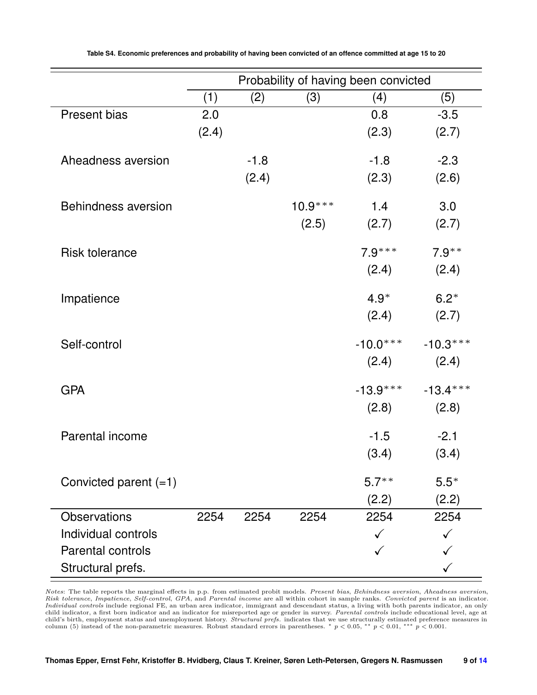<span id="page-8-0"></span>

|                            | Probability of having been convicted |        |           |            |            |  |
|----------------------------|--------------------------------------|--------|-----------|------------|------------|--|
|                            | (1)                                  | (2)    | (3)       | (4)        | (5)        |  |
| Present bias               | 2.0                                  |        |           | 0.8        | $-3.5$     |  |
|                            | (2.4)                                |        |           | (2.3)      | (2.7)      |  |
| Aheadness aversion         |                                      | $-1.8$ |           | $-1.8$     | $-2.3$     |  |
|                            |                                      | (2.4)  |           | (2.3)      | (2.6)      |  |
|                            |                                      |        |           |            |            |  |
| <b>Behindness aversion</b> |                                      |        | $10.9***$ | 1.4        | 3.0        |  |
|                            |                                      |        | (2.5)     | (2.7)      | (2.7)      |  |
| <b>Risk tolerance</b>      |                                      |        |           | $7.9***$   | $7.9***$   |  |
|                            |                                      |        |           |            |            |  |
|                            |                                      |        |           | (2.4)      | (2.4)      |  |
| Impatience                 |                                      |        |           | $4.9*$     | $6.2*$     |  |
|                            |                                      |        |           | (2.4)      | (2.7)      |  |
|                            |                                      |        |           |            |            |  |
| Self-control               |                                      |        |           | $-10.0***$ | $-10.3***$ |  |
|                            |                                      |        |           | (2.4)      | (2.4)      |  |
| <b>GPA</b>                 |                                      |        |           | $-13.9***$ | $-13.4***$ |  |
|                            |                                      |        |           | (2.8)      | (2.8)      |  |
|                            |                                      |        |           |            |            |  |
| Parental income            |                                      |        |           | $-1.5$     | $-2.1$     |  |
|                            |                                      |        |           | (3.4)      | (3.4)      |  |
| Convicted parent $(=1)$    |                                      |        |           | $5.7**$    | $5.5*$     |  |
|                            |                                      |        |           | (2.2)      | (2.2)      |  |
| <b>Observations</b>        | 2254                                 | 2254   | 2254      | 2254       | 2254       |  |
| Individual controls        |                                      |        |           | ✓          |            |  |
| Parental controls          |                                      |        |           |            |            |  |
| Structural prefs.          |                                      |        |           |            |            |  |

Notes: The table reports the marginal effects in p.p. from estimated probit models. Present bias, Behindness aversion, Aheadness aversion,<br>Risk tolerance, Impatience, Self-control, GPA, and Parental income are all within c child indicator, a first born indicator and an indicator for misreported age or gender in survey. Parental controls include educational level, age at child's birth, employment status and unemployment history. *Structural*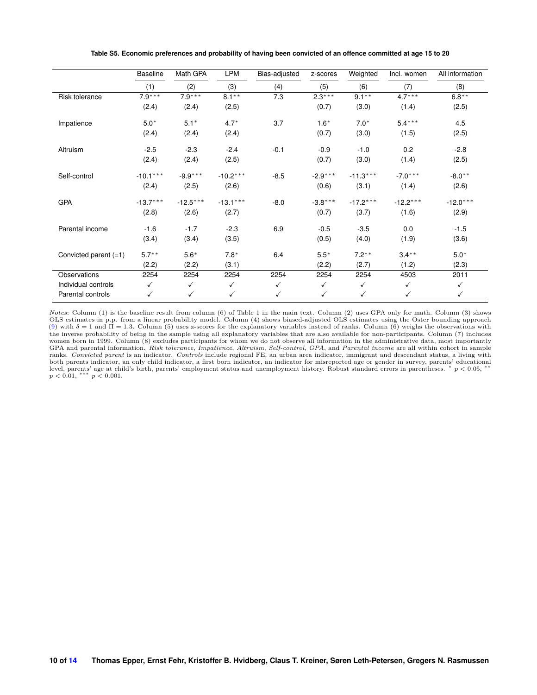<span id="page-9-0"></span>

|                         | <b>Baseline</b> | Math GPA     | <b>LPM</b>   | Bias-adjusted | z-scores     | Weighted     | Incl. women | All information |
|-------------------------|-----------------|--------------|--------------|---------------|--------------|--------------|-------------|-----------------|
|                         | (1)             | (2)          | (3)          | (4)           | (5)          | (6)          | (7)         | (8)             |
| Risk tolerance          | $7.9***$        | $7.9***$     | $8.1***$     | 7.3           | $2.3***$     | $9.1***$     | $4.7***$    | $6.8***$        |
|                         | (2.4)           | (2.4)        | (2.5)        |               | (0.7)        | (3.0)        | (1.4)       | (2.5)           |
| Impatience              | $5.0*$          | $5.1*$       | $4.7*$       | 3.7           | $1.6*$       | $7.0*$       | $5.4***$    | 4.5             |
|                         | (2.4)           | (2.4)        | (2.4)        |               | (0.7)        | (3.0)        | (1.5)       | (2.5)           |
| Altruism                | $-2.5$          | $-2.3$       | $-2.4$       | $-0.1$        | $-0.9$       | $-1.0$       | 0.2         | $-2.8$          |
|                         | (2.4)           | (2.4)        | (2.5)        |               | (0.7)        | (3.0)        | (1.4)       | (2.5)           |
| Self-control            | $-10.1***$      | $-9.9***$    | $-10.2***$   | $-8.5$        | $-2.9***$    | $-11.3***$   | $-7.0***$   | $-8.0**$        |
|                         | (2.4)           | (2.5)        | (2.6)        |               | (0.6)        | (3.1)        | (1.4)       | (2.6)           |
| <b>GPA</b>              | $-13.7***$      | $-12.5***$   | $-13.1***$   | $-8.0$        | $-3.8***$    | $-17.2***$   | $-12.2***$  | $-12.0***$      |
|                         | (2.8)           | (2.6)        | (2.7)        |               | (0.7)        | (3.7)        | (1.6)       | (2.9)           |
| Parental income         | $-1.6$          | $-1.7$       | $-2.3$       | 6.9           | $-0.5$       | $-3.5$       | 0.0         | $-1.5$          |
|                         | (3.4)           | (3.4)        | (3.5)        |               | (0.5)        | (4.0)        | (1.9)       | (3.6)           |
| Convicted parent $(=1)$ | $5.7***$        | $5.6*$       | $7.8*$       | 6.4           | $5.5*$       | $7.2***$     | $3.4***$    | $5.0*$          |
|                         | (2.2)           | (2.2)        | (3.1)        |               | (2.2)        | (2.7)        | (1.2)       | (2.3)           |
| Observations            | 2254            | 2254         | 2254         | 2254          | 2254         | 2254         | 4503        | 2011            |
| Individual controls     | $\checkmark$    | $\checkmark$ | $\checkmark$ | $\checkmark$  | $\checkmark$ | $\checkmark$ | ✓           | $\checkmark$    |
| Parental controls       | ✓               | ✓            | ✓            | ✓             | ✓            | $\checkmark$ | ✓           | ✓               |

**Table S5. Economic preferences and probability of having been convicted of an offence committed at age 15 to 20**

*Notes*: Column (1) is the baseline result from column (6) of Table 1 in the main text. Column (2) uses GPA only for math. Column (3) shows OLS estimates in p.p. from a linear probability model. Column (4) shows biased-adjusted OLS estimates using the Oster bounding approach [\(9\)](#page-13-9) with  $\delta = 1$  and  $\overline{\Pi} = 1.3$ . Column (5) uses z-scores for the explanatory variables instead of ranks. Column (6) weighs the observations with the inverse probability of being in the sample using all explanatory variables that are also available for non-participants. Column (7) includes women born in 1999. Column (8) excludes participants for whom we do not observe all information in the administrative data, most importantly GPA and parental information. *Risk tolerance*, *Impatience*, *Altruism*, *Self-control*, *GPA*, and *Parental income* are all within cohort in sample ranks. Convicted parent is an indicator. Controls include regional FE, ranks. *Convicted parent* is an indicator. *Controls* include regional FE, an urban area indicator, immigrant and descendant status, a living with<br>both parents indicator, an only child indicator, a first born indicator, a  $p < 0.01,$  \*\*\*  $p < 0.001$ .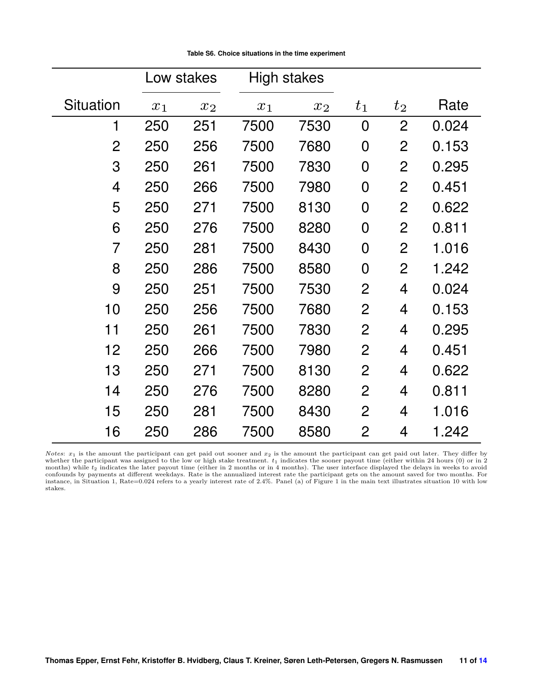<span id="page-10-0"></span>

|                  |       | Low stakes |       | High stakes |                |                |       |
|------------------|-------|------------|-------|-------------|----------------|----------------|-------|
| <b>Situation</b> | $x_1$ | $x_2$      | $x_1$ | $x_2$       | $t_{1}$        | $t_2$          | Rate  |
| 1                | 250   | 251        | 7500  | 7530        | $\overline{0}$ | $\overline{2}$ | 0.024 |
| $\overline{2}$   | 250   | 256        | 7500  | 7680        | $\overline{0}$ | $\overline{2}$ | 0.153 |
| 3                | 250   | 261        | 7500  | 7830        | 0              | 2              | 0.295 |
| $\overline{4}$   | 250   | 266        | 7500  | 7980        | 0              | $\overline{2}$ | 0.451 |
| 5                | 250   | 271        | 7500  | 8130        | 0              | $\overline{2}$ | 0.622 |
| 6                | 250   | 276        | 7500  | 8280        | 0              | $\overline{2}$ | 0.811 |
| 7                | 250   | 281        | 7500  | 8430        | 0              | $\overline{2}$ | 1.016 |
| 8                | 250   | 286        | 7500  | 8580        | $\overline{0}$ | $\overline{2}$ | 1.242 |
| 9                | 250   | 251        | 7500  | 7530        | $\overline{2}$ | 4              | 0.024 |
| 10               | 250   | 256        | 7500  | 7680        | 2              | 4              | 0.153 |
| 11               | 250   | 261        | 7500  | 7830        | $\overline{2}$ | 4              | 0.295 |
| 12               | 250   | 266        | 7500  | 7980        | $\overline{2}$ | 4              | 0.451 |
| 13               | 250   | 271        | 7500  | 8130        | $\overline{2}$ | 4              | 0.622 |
| 14               | 250   | 276        | 7500  | 8280        | 2              | 4              | 0.811 |
| 15               | 250   | 281        | 7500  | 8430        | $\overline{2}$ | 4              | 1.016 |
| 16               | 250   | 286        | 7500  | 8580        | 2              | 4              | 1.242 |

*Notes*:  $x_1$  is the amount the participant can get paid out sooner and  $x_2$  is the amount the participant can get paid out later. They differ by whether the participant was assigned to the low or high stake treatment.  $t_1$  indicates the sooner payout time (either within 24 hours (0) or in 2 months) while  $t_2$  indicates the later payout time (either in 2 months o confounds by payments at different weekdays. Rate is the annualized interest rate the participant gets on the amount saved for two months. For instance, in Situation 1, Rate=0.024 refers to a yearly interest rate of 2.4%. Panel (a) of Figure 1 in the main text illustrates situation 10 with low stakes.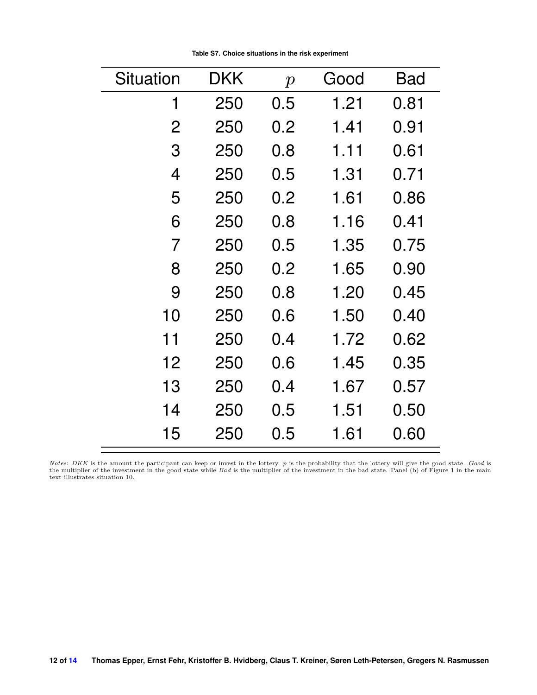| Situation | DKK | $\boldsymbol{p}$ | Good | Bad  |
|-----------|-----|------------------|------|------|
| 1         | 250 | 0.5              | 1.21 | 0.81 |
| 2         | 250 | 0.2              | 1.41 | 0.91 |
| 3         | 250 | 0.8              | 1.11 | 0.61 |
| 4         | 250 | 0.5              | 1.31 | 0.71 |
| 5         | 250 | 0.2              | 1.61 | 0.86 |
| 6         | 250 | $0.8\,$          | 1.16 | 0.41 |
| 7         | 250 | 0.5              | 1.35 | 0.75 |
| 8         | 250 | 0.2              | 1.65 | 0.90 |
| 9         | 250 | 0.8              | 1.20 | 0.45 |
| 10        | 250 | 0.6              | 1.50 | 0.40 |
| 11        | 250 | 0.4              | 1.72 | 0.62 |
| 12        | 250 | 0.6              | 1.45 | 0.35 |
| 13        | 250 | 0.4              | 1.67 | 0.57 |
| 14        | 250 | 0.5              | 1.51 | 0.50 |
| 15        | 250 | 0.5              | 1.61 | 0.60 |

**Table S7. Choice situations in the risk experiment**

*Notes: DKK* is the amount the participant can keep or invest in the lottery. p is the probability that the lottery will give the good state. Good is the multiplier of the investment in the bad state. Good is the multiplie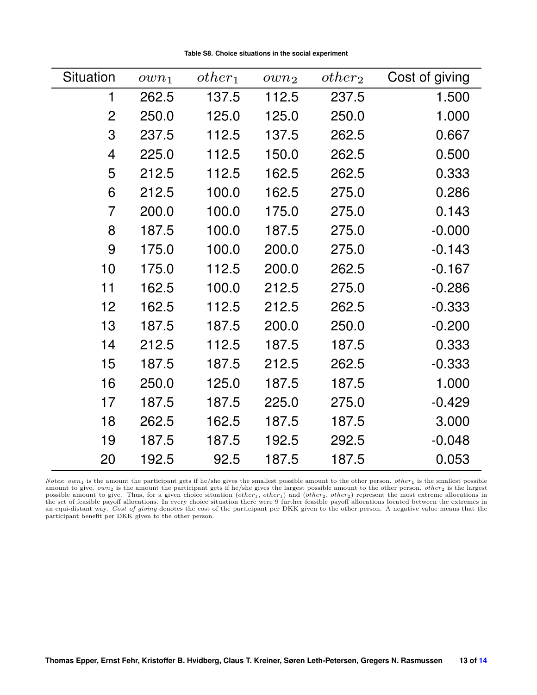**Table S8. Choice situations in the social experiment**

<span id="page-12-0"></span>

| Situation      | $own_1$ | $other_1$ | own <sub>2</sub> | $other_2$ | Cost of giving |
|----------------|---------|-----------|------------------|-----------|----------------|
| 1              | 262.5   | 137.5     | 112.5            | 237.5     | 1.500          |
| $\overline{2}$ | 250.0   | 125.0     | 125.0            | 250.0     | 1.000          |
| 3              | 237.5   | 112.5     | 137.5            | 262.5     | 0.667          |
| 4              | 225.0   | 112.5     | 150.0            | 262.5     | 0.500          |
| 5              | 212.5   | 112.5     | 162.5            | 262.5     | 0.333          |
| 6              | 212.5   | 100.0     | 162.5            | 275.0     | 0.286          |
| $\overline{7}$ | 200.0   | 100.0     | 175.0            | 275.0     | 0.143          |
| 8              | 187.5   | 100.0     | 187.5            | 275.0     | $-0.000$       |
| 9              | 175.0   | 100.0     | 200.0            | 275.0     | $-0.143$       |
| 10             | 175.0   | 112.5     | 200.0            | 262.5     | $-0.167$       |
| 11             | 162.5   | 100.0     | 212.5            | 275.0     | $-0.286$       |
| 12             | 162.5   | 112.5     | 212.5            | 262.5     | $-0.333$       |
| 13             | 187.5   | 187.5     | 200.0            | 250.0     | $-0.200$       |
| 14             | 212.5   | 112.5     | 187.5            | 187.5     | 0.333          |
| 15             | 187.5   | 187.5     | 212.5            | 262.5     | $-0.333$       |
| 16             | 250.0   | 125.0     | 187.5            | 187.5     | 1.000          |
| 17             | 187.5   | 187.5     | 225.0            | 275.0     | $-0.429$       |
| 18             | 262.5   | 162.5     | 187.5            | 187.5     | 3.000          |
| 19             | 187.5   | 187.5     | 192.5            | 292.5     | $-0.048$       |
| 20             | 192.5   | 92.5      | 187.5            | 187.5     | 0.053          |

*Notes*:  $own_1$  is the amount the participant gets if he/she gives the smallest possible amount to the other person. *other*<sub>1</sub> is the smallest possible amount to give.  $own_2$  is the amount the participant gets if he/she gives the largest possible amount to the other person. *other*<sub>2</sub> is the largest possible amount to give. Thus, for a given choice situation (*other*<sub>1</sub>,